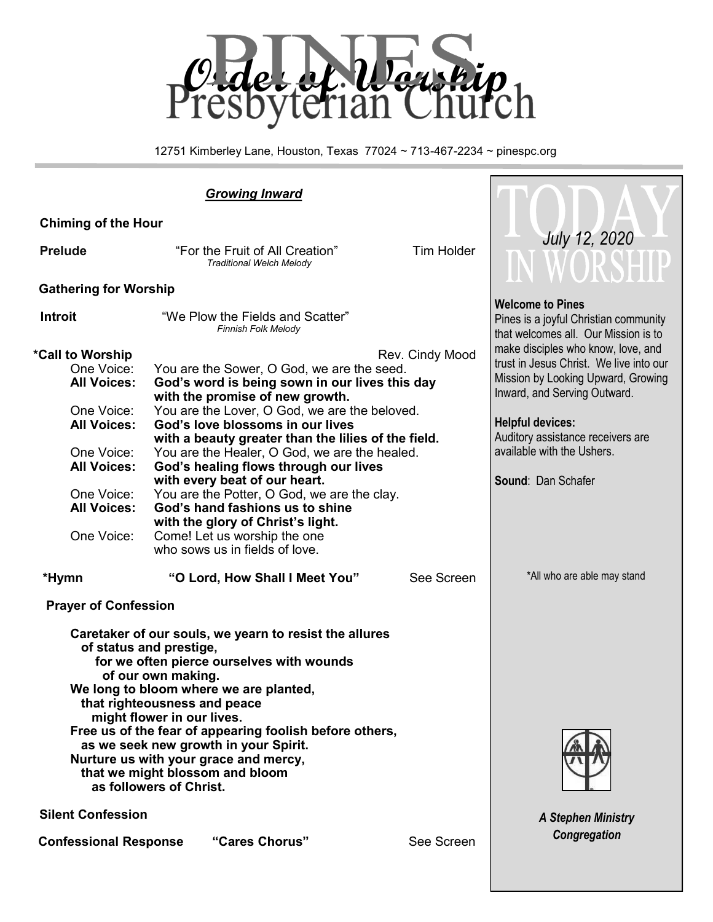

12751 Kimberley Lane, Houston, Texas 77024 ~ 713-467-2234 ~ pinespc.org

# *Growing Inward*

| <b>Chiming of the Hour</b>                                                                                                                                                                                                                                                                                                                                                                                                                                                                             |                                                                                                                                                                                                                                                                                                                                                                                                                                                                                                                                                                                                 |                   |                                                                                                                                                                                                                                                                         |
|--------------------------------------------------------------------------------------------------------------------------------------------------------------------------------------------------------------------------------------------------------------------------------------------------------------------------------------------------------------------------------------------------------------------------------------------------------------------------------------------------------|-------------------------------------------------------------------------------------------------------------------------------------------------------------------------------------------------------------------------------------------------------------------------------------------------------------------------------------------------------------------------------------------------------------------------------------------------------------------------------------------------------------------------------------------------------------------------------------------------|-------------------|-------------------------------------------------------------------------------------------------------------------------------------------------------------------------------------------------------------------------------------------------------------------------|
| <b>Prelude</b>                                                                                                                                                                                                                                                                                                                                                                                                                                                                                         | "For the Fruit of All Creation"<br><b>Traditional Welch Melody</b>                                                                                                                                                                                                                                                                                                                                                                                                                                                                                                                              | <b>Tim Holder</b> | <b>July 12, 2020</b><br>WORSHIP                                                                                                                                                                                                                                         |
| <b>Gathering for Worship</b>                                                                                                                                                                                                                                                                                                                                                                                                                                                                           |                                                                                                                                                                                                                                                                                                                                                                                                                                                                                                                                                                                                 |                   |                                                                                                                                                                                                                                                                         |
| <b>Introit</b>                                                                                                                                                                                                                                                                                                                                                                                                                                                                                         | "We Plow the Fields and Scatter"<br><b>Finnish Folk Melody</b>                                                                                                                                                                                                                                                                                                                                                                                                                                                                                                                                  |                   | <b>Welcome to Pines</b><br>Pines is a joyful Christian community<br>that welcomes all. Our Mission is to                                                                                                                                                                |
| *Call to Worship<br>One Voice:<br><b>All Voices:</b><br>One Voice:<br><b>All Voices:</b><br>One Voice:<br><b>All Voices:</b><br>One Voice:<br><b>All Voices:</b><br>One Voice:                                                                                                                                                                                                                                                                                                                         | You are the Sower, O God, we are the seed.<br>God's word is being sown in our lives this day<br>with the promise of new growth.<br>You are the Lover, O God, we are the beloved.<br>God's love blossoms in our lives<br>with a beauty greater than the lilies of the field.<br>You are the Healer, O God, we are the healed.<br>God's healing flows through our lives<br>with every beat of our heart.<br>You are the Potter, O God, we are the clay.<br>God's hand fashions us to shine<br>with the glory of Christ's light.<br>Come! Let us worship the one<br>who sows us in fields of love. | Rev. Cindy Mood   | make disciples who know, love, and<br>trust in Jesus Christ. We live into our<br>Mission by Looking Upward, Growing<br>Inward, and Serving Outward.<br><b>Helpful devices:</b><br>Auditory assistance receivers are<br>available with the Ushers.<br>Sound: Dan Schafer |
| *Hymn                                                                                                                                                                                                                                                                                                                                                                                                                                                                                                  | "O Lord, How Shall I Meet You"                                                                                                                                                                                                                                                                                                                                                                                                                                                                                                                                                                  | See Screen        | *All who are able may stand                                                                                                                                                                                                                                             |
| <b>Prayer of Confession</b><br>Caretaker of our souls, we yearn to resist the allures<br>of status and prestige,<br>for we often pierce ourselves with wounds<br>of our own making.<br>We long to bloom where we are planted,<br>that righteousness and peace<br>might flower in our lives.<br>Free us of the fear of appearing foolish before others,<br>as we seek new growth in your Spirit.<br>Nurture us with your grace and mercy,<br>that we might blossom and bloom<br>as followers of Christ. |                                                                                                                                                                                                                                                                                                                                                                                                                                                                                                                                                                                                 |                   |                                                                                                                                                                                                                                                                         |
| <b>Silent Confession</b>                                                                                                                                                                                                                                                                                                                                                                                                                                                                               | <b>A Stephen Ministry</b>                                                                                                                                                                                                                                                                                                                                                                                                                                                                                                                                                                       |                   |                                                                                                                                                                                                                                                                         |
| <b>Confessional Response</b>                                                                                                                                                                                                                                                                                                                                                                                                                                                                           | "Cares Chorus"                                                                                                                                                                                                                                                                                                                                                                                                                                                                                                                                                                                  | See Screen        | Congregation                                                                                                                                                                                                                                                            |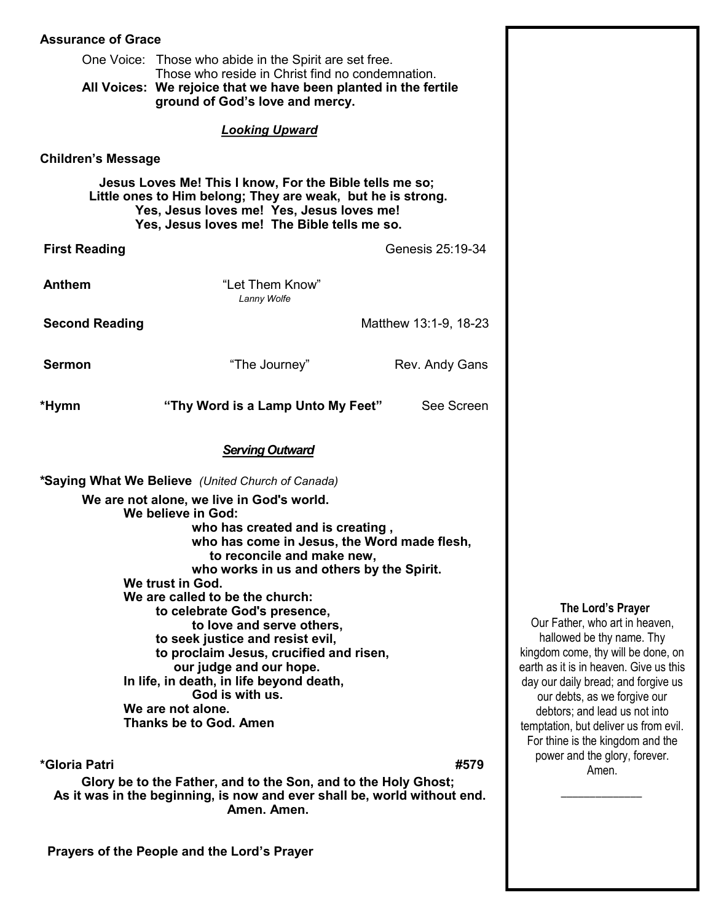| <b>Assurance of Grace</b>                                                                                                                                                                                          |                                                                                                            |                       |  |  |  |  |  |  |
|--------------------------------------------------------------------------------------------------------------------------------------------------------------------------------------------------------------------|------------------------------------------------------------------------------------------------------------|-----------------------|--|--|--|--|--|--|
|                                                                                                                                                                                                                    | One Voice: Those who abide in the Spirit are set free.<br>Those who reside in Christ find no condemnation. |                       |  |  |  |  |  |  |
|                                                                                                                                                                                                                    | All Voices: We rejoice that we have been planted in the fertile<br>ground of God's love and mercy.         |                       |  |  |  |  |  |  |
| <b>Looking Upward</b>                                                                                                                                                                                              |                                                                                                            |                       |  |  |  |  |  |  |
| <b>Children's Message</b>                                                                                                                                                                                          |                                                                                                            |                       |  |  |  |  |  |  |
| Jesus Loves Me! This I know, For the Bible tells me so;<br>Little ones to Him belong; They are weak, but he is strong.<br>Yes, Jesus loves me! Yes, Jesus loves me!<br>Yes, Jesus loves me! The Bible tells me so. |                                                                                                            |                       |  |  |  |  |  |  |
| <b>First Reading</b>                                                                                                                                                                                               |                                                                                                            | Genesis 25:19-34      |  |  |  |  |  |  |
| <b>Anthem</b>                                                                                                                                                                                                      | "Let Them Know"<br>Lanny Wolfe                                                                             |                       |  |  |  |  |  |  |
| <b>Second Reading</b>                                                                                                                                                                                              |                                                                                                            | Matthew 13:1-9, 18-23 |  |  |  |  |  |  |
| <b>Sermon</b>                                                                                                                                                                                                      | "The Journey"                                                                                              | Rev. Andy Gans        |  |  |  |  |  |  |
| *Hymn                                                                                                                                                                                                              | "Thy Word is a Lamp Unto My Feet"                                                                          | See Screen            |  |  |  |  |  |  |
| <b>Serving Outward</b>                                                                                                                                                                                             |                                                                                                            |                       |  |  |  |  |  |  |
|                                                                                                                                                                                                                    | *Saying What We Believe (United Church of Canada)                                                          |                       |  |  |  |  |  |  |
|                                                                                                                                                                                                                    | We are not alone, we live in God's world.                                                                  |                       |  |  |  |  |  |  |
|                                                                                                                                                                                                                    | We believe in God:                                                                                         |                       |  |  |  |  |  |  |
|                                                                                                                                                                                                                    | who has created and is creating,<br>who has come in Jesus, the Word made flesh,                            |                       |  |  |  |  |  |  |
|                                                                                                                                                                                                                    | to reconcile and make new,                                                                                 |                       |  |  |  |  |  |  |
|                                                                                                                                                                                                                    | who works in us and others by the Spirit.                                                                  |                       |  |  |  |  |  |  |
| We trust in God.<br>We are called to be the church:                                                                                                                                                                |                                                                                                            |                       |  |  |  |  |  |  |
| to celebrate God's presence,                                                                                                                                                                                       |                                                                                                            |                       |  |  |  |  |  |  |
| to love and serve others,<br>to seek justice and resist evil,                                                                                                                                                      |                                                                                                            |                       |  |  |  |  |  |  |
| to proclaim Jesus, crucified and risen,                                                                                                                                                                            |                                                                                                            |                       |  |  |  |  |  |  |
| our judge and our hope.                                                                                                                                                                                            |                                                                                                            |                       |  |  |  |  |  |  |
| In life, in death, in life beyond death,<br>God is with us.                                                                                                                                                        |                                                                                                            |                       |  |  |  |  |  |  |
| We are not alone.                                                                                                                                                                                                  |                                                                                                            |                       |  |  |  |  |  |  |
| <b>Thanks be to God. Amen</b>                                                                                                                                                                                      |                                                                                                            |                       |  |  |  |  |  |  |
| *Gloria Patri<br>#579                                                                                                                                                                                              |                                                                                                            |                       |  |  |  |  |  |  |
| Glory be to the Father, and to the Son, and to the Holy Ghost;<br>As it was in the beginning is now and over shall be world without and                                                                            |                                                                                                            |                       |  |  |  |  |  |  |

**As it was in the beginning, is now and ever shall be, world without end. Amen. Amen.** 

 **Prayers of the People and the Lord's Prayer**

#### **The Lord's Prayer**

Our Father, who art in heaven, hallowed be thy name. Thy kingdom come, thy will be done, on earth as it is in heaven. Give us this day our daily bread; and forgive us our debts, as we forgive our debtors; and lead us not into temptation, but deliver us from evil. For thine is the kingdom and the power and the glory, forever. Amen.

 $\overline{\phantom{a}}$  ,  $\overline{\phantom{a}}$  ,  $\overline{\phantom{a}}$  ,  $\overline{\phantom{a}}$  ,  $\overline{\phantom{a}}$  ,  $\overline{\phantom{a}}$  ,  $\overline{\phantom{a}}$  ,  $\overline{\phantom{a}}$  ,  $\overline{\phantom{a}}$  ,  $\overline{\phantom{a}}$  ,  $\overline{\phantom{a}}$  ,  $\overline{\phantom{a}}$  ,  $\overline{\phantom{a}}$  ,  $\overline{\phantom{a}}$  ,  $\overline{\phantom{a}}$  ,  $\overline{\phantom{a}}$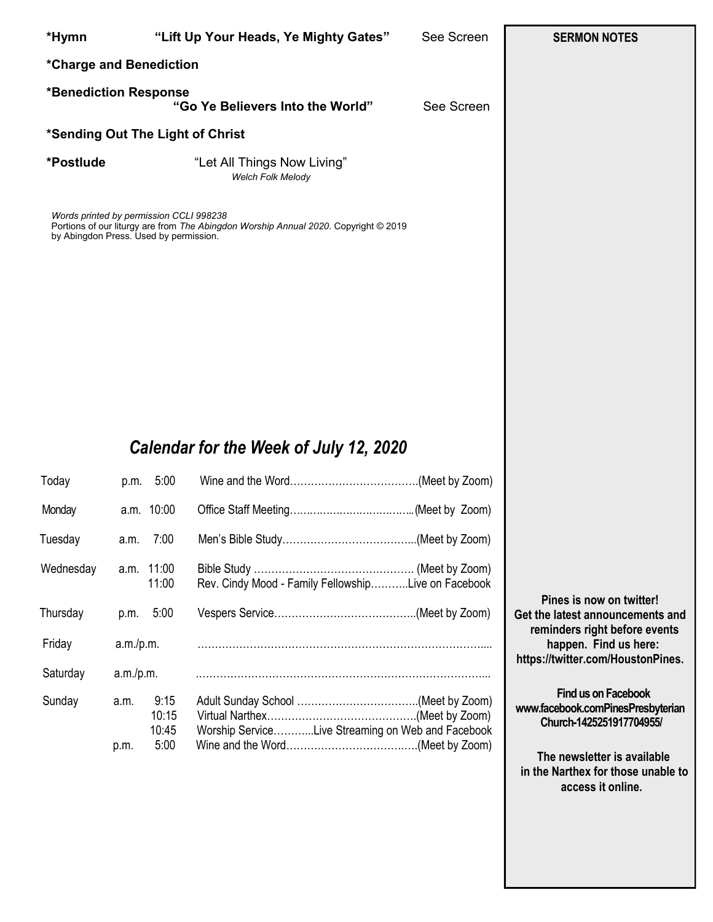| *Hymn                                                                             |      |                     | "Lift Up Your Heads, Ye Mighty Gates"                                               | See Screen | <b>SERMON NOTES</b> |
|-----------------------------------------------------------------------------------|------|---------------------|-------------------------------------------------------------------------------------|------------|---------------------|
| *Charge and Benediction                                                           |      |                     |                                                                                     |            |                     |
| *Benediction Response                                                             |      |                     | "Go Ye Believers Into the World"                                                    | See Screen |                     |
| *Sending Out The Light of Christ                                                  |      |                     |                                                                                     |            |                     |
| *Postlude                                                                         |      |                     | "Let All Things Now Living"<br>Welch Folk Melody                                    |            |                     |
| Words printed by permission CCLI 998238<br>by Abingdon Press. Used by permission. |      |                     | Portions of our liturgy are from The Abingdon Worship Annual 2020. Copyright © 2019 |            |                     |
|                                                                                   |      |                     | Calendar for the Week of July 12, 2020                                              |            |                     |
| Today                                                                             |      | p.m. 5:00           |                                                                                     |            |                     |
| Monday                                                                            |      | a.m. 10:00          |                                                                                     |            |                     |
| Tuesday                                                                           | a.m. | 7:00                |                                                                                     |            |                     |
| Wednesday                                                                         |      | a.m. 11:00<br>11:00 | Rev. Cindy Mood - Family FellowshipLive on Facebook                                 |            |                     |

Thursday p.m. 5:00 Vespers Service…………………………………..(Meet by Zoom)

Friday a.m./p.m. ………………………………………………………………………....

Saturday a.m./p.m. .………………………………………………………………………...

Sunday a.m. 9:15 Adult Sunday School ……………………………..(Meet by Zoom)

 10:15 Virtual Narthex…………………………………….(Meet by Zoom) 10:45 Worship Service………...Live Streaming on Web and Facebook

p.m. 5:00 Wine and the Word…………………………….….(Meet by Zoom)

**Pines is now on twitter! Get the latest announcements and reminders right before events happen. Find us here: https://twitter.com/HoustonPines.** 

 **Find us on Facebook www.facebook.comPinesPresbyterian Church-1425251917704955/**

 **The newsletter is available in the Narthex for those unable to access it online.**